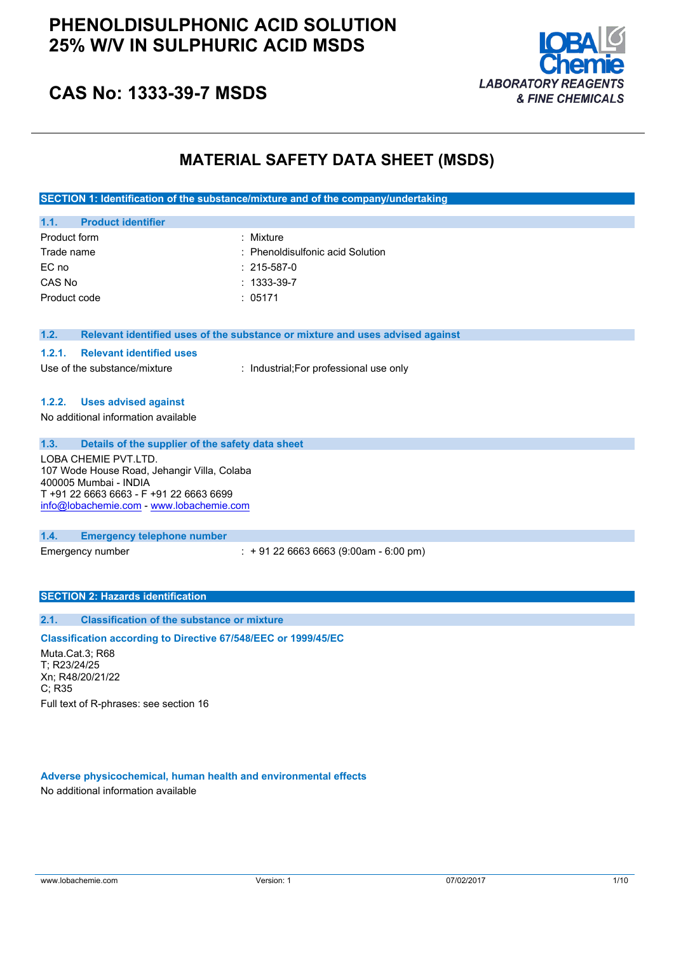## **PHENOLDISULPHONIC ACID SOLUTION 25% W/V IN SULPHURIC ACID MSDS**



## **CAS No: 1333-39-7 MSDS**

## **MATERIAL SAFETY DATA SHEET (MSDS)**

**SECTION 1: Identification of the substance/mixture and of the company/undertaking**

| 1.1.7        | <b>Product identifier</b> |                                  |
|--------------|---------------------------|----------------------------------|
| Product form |                           | : Mixture                        |
| Trade name   |                           | : Phenoldisulfonic acid Solution |
| EC no        |                           | $: 215 - 587 - 0$                |
| CAS No       |                           | $: 1333 - 39 - 7$                |
| Product code |                           | : 05171                          |

**1.2. Relevant identified uses of the substance or mixture and uses advised against**

#### **1.2.1. Relevant identified uses**

Use of the substance/mixture : Industrial:For professional use only

#### **1.2.2. Uses advised against**

No additional information available

#### **1.3. Details of the supplier of the safety data sheet**

LOBA CHEMIE PVT.LTD. 107 Wode House Road, Jehangir Villa, Colaba 400005 Mumbai - INDIA T +91 22 6663 6663 - F +91 22 6663 6699 [info@lobachemie.com](mailto:info@lobachemie.com) - <www.lobachemie.com>

#### **1.4. Emergency telephone number**

Emergency number : + 91 22 6663 6663 (9:00am - 6:00 pm)

#### **SECTION 2: Hazards identification**

#### **2.1. Classification of the substance or mixture**

#### **Classification according to Directive 67/548/EEC or 1999/45/EC**

Muta.Cat.3; R68 T; R23/24/25 Xn; R48/20/21/22 C; R35 Full text of R-phrases: see section 16

#### **Adverse physicochemical, human health and environmental effects** No additional information available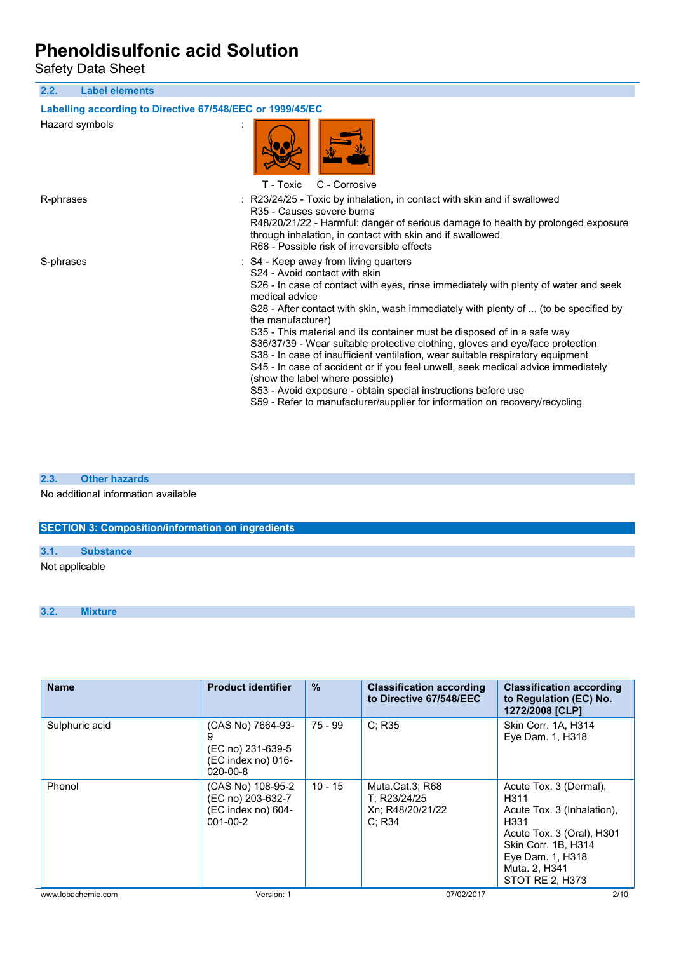Safety Data Sheet

**2.2. Label elements Labelling according to Directive 67/548/EEC or 1999/45/EC** Hazard symbols : T - Toxic C - Corrosive R-phrases : R23/24/25 - Toxic by inhalation, in contact with skin and if swallowed R35 - Causes severe burns R48/20/21/22 - Harmful: danger of serious damage to health by prolonged exposure through inhalation, in contact with skin and if swallowed R68 - Possible risk of irreversible effects S-phrases : S4 - Keep away from living quarters S24 - Avoid contact with skin S26 - In case of contact with eyes, rinse immediately with plenty of water and seek medical advice S28 - After contact with skin, wash immediately with plenty of ... (to be specified by the manufacturer) S35 - This material and its container must be disposed of in a safe way S36/37/39 - Wear suitable protective clothing, gloves and eye/face protection S38 - In case of insufficient ventilation, wear suitable respiratory equipment S45 - In case of accident or if you feel unwell, seek medical advice immediately (show the label where possible) S53 - Avoid exposure - obtain special instructions before use S59 - Refer to manufacturer/supplier for information on recovery/recycling

#### **2.3. Other hazards**

No additional information available

| <b>SECTION 3: Composition/information on ingredients</b> |  |  |  |
|----------------------------------------------------------|--|--|--|
|----------------------------------------------------------|--|--|--|

**3.1. Substance**

Not applicable

**3.2. Mixture**

| <b>Name</b>        | <b>Product identifier</b>                                                      | $\frac{0}{0}$ | <b>Classification according</b><br>to Directive 67/548/EEC    | <b>Classification according</b><br>to Regulation (EC) No.<br>1272/2008 [CLP]                                                                                                     |
|--------------------|--------------------------------------------------------------------------------|---------------|---------------------------------------------------------------|----------------------------------------------------------------------------------------------------------------------------------------------------------------------------------|
| Sulphuric acid     | (CAS No) 7664-93-<br>(EC no) 231-639-5<br>(EC index no) 016-<br>$020 - 00 - 8$ | 75 - 99       | C: R35                                                        | Skin Corr. 1A, H314<br>Eye Dam. 1, H318                                                                                                                                          |
| Phenol             | (CAS No) 108-95-2<br>(EC no) 203-632-7<br>(EC index no) 604-<br>$001 - 00 - 2$ | $10 - 15$     | Muta.Cat.3; R68<br>T: R23/24/25<br>Xn; R48/20/21/22<br>C: R34 | Acute Tox. 3 (Dermal),<br>H311<br>Acute Tox. 3 (Inhalation).<br>H331<br>Acute Tox. 3 (Oral), H301<br>Skin Corr. 1B, H314<br>Eye Dam. 1, H318<br>Muta. 2, H341<br>STOT RE 2, H373 |
| www.lobachemie.com | Version: 1                                                                     |               | 07/02/2017                                                    | 2/10                                                                                                                                                                             |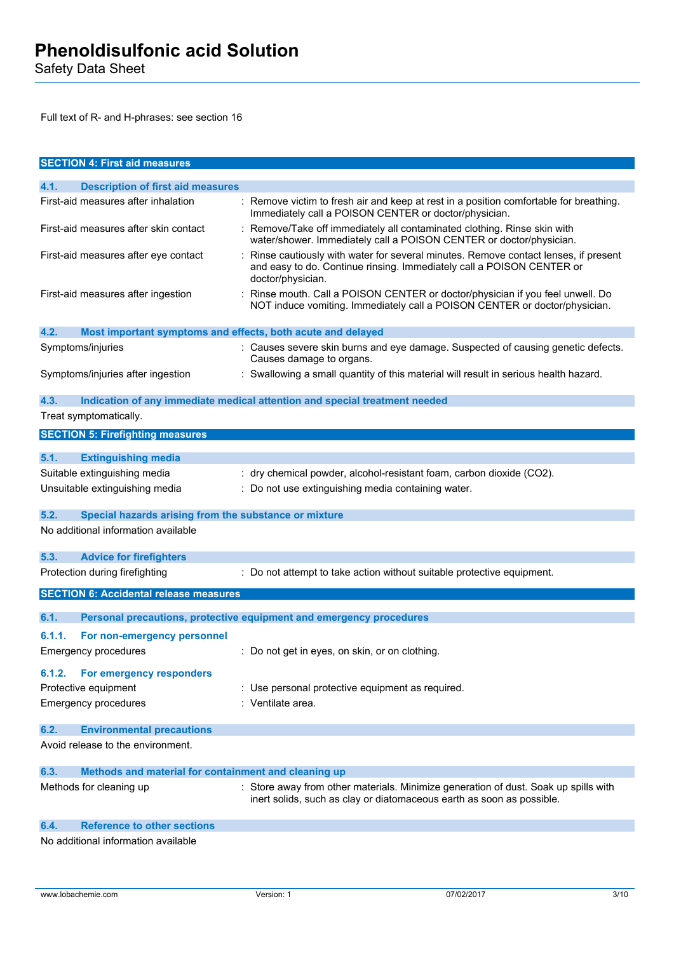Safety Data Sheet

Full text of R- and H-phrases: see section 16

| <b>SECTION 4: First aid measures</b>                                |                                                                                                                                                                                  |
|---------------------------------------------------------------------|----------------------------------------------------------------------------------------------------------------------------------------------------------------------------------|
| 4.1.<br><b>Description of first aid measures</b>                    |                                                                                                                                                                                  |
| First-aid measures after inhalation                                 | : Remove victim to fresh air and keep at rest in a position comfortable for breathing.<br>Immediately call a POISON CENTER or doctor/physician.                                  |
| First-aid measures after skin contact                               | Remove/Take off immediately all contaminated clothing. Rinse skin with<br>water/shower. Immediately call a POISON CENTER or doctor/physician.                                    |
| First-aid measures after eye contact                                | Rinse cautiously with water for several minutes. Remove contact lenses, if present<br>and easy to do. Continue rinsing. Immediately call a POISON CENTER or<br>doctor/physician. |
| First-aid measures after ingestion                                  | : Rinse mouth. Call a POISON CENTER or doctor/physician if you feel unwell. Do<br>NOT induce vomiting. Immediately call a POISON CENTER or doctor/physician.                     |
| 4.2.<br>Most important symptoms and effects, both acute and delayed |                                                                                                                                                                                  |
| Symptoms/injuries                                                   | : Causes severe skin burns and eye damage. Suspected of causing genetic defects.<br>Causes damage to organs.                                                                     |
| Symptoms/injuries after ingestion                                   | : Swallowing a small quantity of this material will result in serious health hazard.                                                                                             |
| 4.3.                                                                | Indication of any immediate medical attention and special treatment needed                                                                                                       |
| Treat symptomatically.                                              |                                                                                                                                                                                  |
| <b>SECTION 5: Firefighting measures</b>                             |                                                                                                                                                                                  |
| 5.1.<br><b>Extinguishing media</b>                                  |                                                                                                                                                                                  |
| Suitable extinguishing media                                        | : dry chemical powder, alcohol-resistant foam, carbon dioxide (CO2).                                                                                                             |
| Unsuitable extinguishing media                                      | : Do not use extinguishing media containing water.                                                                                                                               |
| 5.2.<br>Special hazards arising from the substance or mixture       |                                                                                                                                                                                  |
| No additional information available                                 |                                                                                                                                                                                  |
| 5.3.<br><b>Advice for firefighters</b>                              |                                                                                                                                                                                  |
| Protection during firefighting                                      | : Do not attempt to take action without suitable protective equipment.                                                                                                           |
| <b>SECTION 6: Accidental release measures</b>                       |                                                                                                                                                                                  |
| 6.1.                                                                | Personal precautions, protective equipment and emergency procedures                                                                                                              |
| 6.1.1.<br>For non-emergency personnel                               |                                                                                                                                                                                  |
| <b>Emergency procedures</b>                                         | : Do not get in eyes, on skin, or on clothing.                                                                                                                                   |
| For emergency responders<br>6.1.2.                                  |                                                                                                                                                                                  |
| Protective equipment                                                | : Use personal protective equipment as required.                                                                                                                                 |
| <b>Emergency procedures</b>                                         | : Ventilate area.                                                                                                                                                                |
| <b>Environmental precautions</b><br>6.2.                            |                                                                                                                                                                                  |
| Avoid release to the environment.                                   |                                                                                                                                                                                  |
| Methods and material for containment and cleaning up<br>6.3.        |                                                                                                                                                                                  |
| Methods for cleaning up                                             | : Store away from other materials. Minimize generation of dust. Soak up spills with<br>inert solids, such as clay or diatomaceous earth as soon as possible.                     |
| <b>Reference to other sections</b><br>6.4.                          |                                                                                                                                                                                  |
| No additional information available                                 |                                                                                                                                                                                  |

No additional information available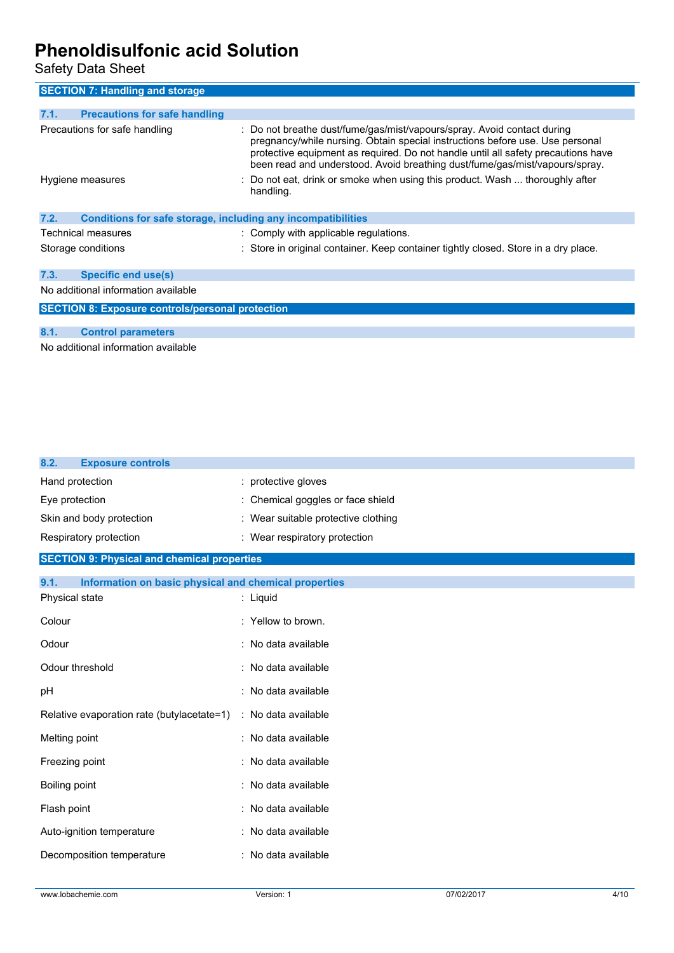Safety Data Sheet

| <b>SECTION 7: Handling and storage</b>                               |                                                                                                                                                                                                                                                                                                                              |  |
|----------------------------------------------------------------------|------------------------------------------------------------------------------------------------------------------------------------------------------------------------------------------------------------------------------------------------------------------------------------------------------------------------------|--|
| 7.1.<br><b>Precautions for safe handling</b>                         |                                                                                                                                                                                                                                                                                                                              |  |
| Precautions for safe handling                                        | : Do not breathe dust/fume/gas/mist/vapours/spray. Avoid contact during<br>pregnancy/while nursing. Obtain special instructions before use. Use personal<br>protective equipment as required. Do not handle until all safety precautions have<br>been read and understood. Avoid breathing dust/fume/gas/mist/vapours/spray. |  |
| Hygiene measures                                                     | : Do not eat, drink or smoke when using this product. Wash  thoroughly after<br>handling.                                                                                                                                                                                                                                    |  |
| 7.2.<br>Conditions for safe storage, including any incompatibilities |                                                                                                                                                                                                                                                                                                                              |  |
| Technical measures                                                   | : Comply with applicable regulations.                                                                                                                                                                                                                                                                                        |  |
| Storage conditions                                                   | : Store in original container. Keep container tightly closed. Store in a dry place.                                                                                                                                                                                                                                          |  |
| <b>Specific end use(s)</b><br>7.3.                                   |                                                                                                                                                                                                                                                                                                                              |  |
| No additional information available                                  |                                                                                                                                                                                                                                                                                                                              |  |
| <b>SECTION 8: Exposure controls/personal protection</b>              |                                                                                                                                                                                                                                                                                                                              |  |
| 8.1.<br><b>Control parameters</b>                                    |                                                                                                                                                                                                                                                                                                                              |  |

No additional information available

| 8.2.<br><b>Exposure controls</b>                              |                                     |
|---------------------------------------------------------------|-------------------------------------|
| Hand protection                                               | : protective gloves                 |
| Eye protection                                                | : Chemical goggles or face shield   |
| Skin and body protection                                      | : Wear suitable protective clothing |
| Respiratory protection                                        | : Wear respiratory protection       |
| <b>SECTION 9: Physical and chemical properties</b>            |                                     |
| 9.1.<br>Information on basic physical and chemical properties |                                     |
| Physical state                                                | : Liquid                            |
| Colour                                                        | : Yellow to brown.                  |
| Odour                                                         | : No data available                 |
| Odour threshold                                               | : No data available                 |
| pH                                                            | : No data available                 |
| Relative evaporation rate (butylacetate=1)                    | : No data available                 |
| Melting point                                                 | : No data available                 |
| Freezing point                                                | : No data available                 |
| Boiling point                                                 | : No data available                 |
| Flash point                                                   | : No data available                 |
| Auto-ignition temperature                                     | : No data available                 |
| Decomposition temperature                                     | : No data available                 |
|                                                               |                                     |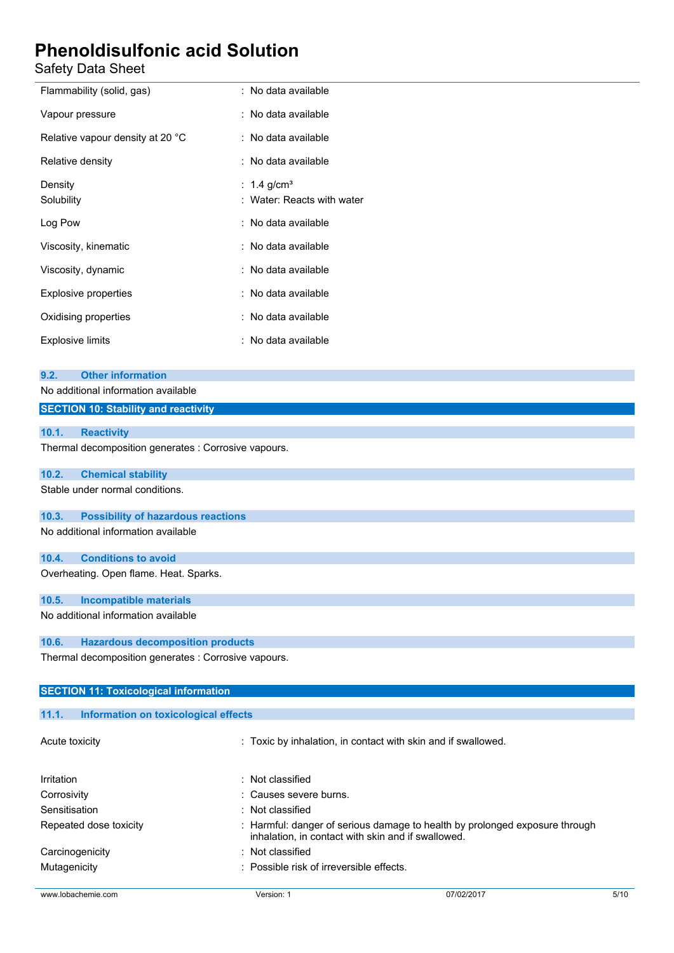| Safety Data Sheet                                    |                                                               |  |
|------------------------------------------------------|---------------------------------------------------------------|--|
| Flammability (solid, gas)                            | : No data available                                           |  |
| Vapour pressure                                      | : No data available                                           |  |
| Relative vapour density at 20 °C                     | : No data available                                           |  |
| Relative density                                     | : No data available                                           |  |
| Density<br>Solubility                                | : $1.4 \text{ g/cm}^3$<br>: Water: Reacts with water          |  |
| Log Pow                                              | : No data available                                           |  |
| Viscosity, kinematic                                 | : No data available                                           |  |
| Viscosity, dynamic                                   | : No data available                                           |  |
| <b>Explosive properties</b>                          | : No data available                                           |  |
| Oxidising properties                                 | : No data available                                           |  |
| <b>Explosive limits</b>                              | : No data available                                           |  |
| <b>Other information</b><br>9.2.                     |                                                               |  |
| No additional information available                  |                                                               |  |
| <b>SECTION 10: Stability and reactivity</b>          |                                                               |  |
| 10.1.<br><b>Reactivity</b>                           |                                                               |  |
| Thermal decomposition generates : Corrosive vapours. |                                                               |  |
| <b>Chemical stability</b><br>10.2.                   |                                                               |  |
| Stable under normal conditions.                      |                                                               |  |
| <b>Possibility of hazardous reactions</b><br>10.3.   |                                                               |  |
| No additional information available                  |                                                               |  |
| 10.4.<br><b>Conditions to avoid</b>                  |                                                               |  |
| Overheating. Open flame. Heat. Sparks.               |                                                               |  |
| <b>Incompatible materials</b><br>10.5.               |                                                               |  |
| No additional information available                  |                                                               |  |
| <b>Hazardous decomposition products</b><br>10.6.     |                                                               |  |
| Thermal decomposition generates : Corrosive vapours. |                                                               |  |
| <b>SECTION 11: Toxicological information</b>         |                                                               |  |
| 11.1.<br><b>Information on toxicological effects</b> |                                                               |  |
| Acute toxicity                                       | : Toxic by inhalation, in contact with skin and if swallowed. |  |

| Irritation             | $:$ Not classified                                                                                                                |
|------------------------|-----------------------------------------------------------------------------------------------------------------------------------|
| Corrosivity            | : Causes severe burns.                                                                                                            |
| Sensitisation          | $:$ Not classified                                                                                                                |
| Repeated dose toxicity | : Harmful: danger of serious damage to health by prolonged exposure through<br>inhalation, in contact with skin and if swallowed. |
| Carcinogenicity        | $:$ Not classified                                                                                                                |
| Mutagenicity           | : Possible risk of irreversible effects.                                                                                          |

www.lobachemie.com Version: 1 07/02/2017 5/10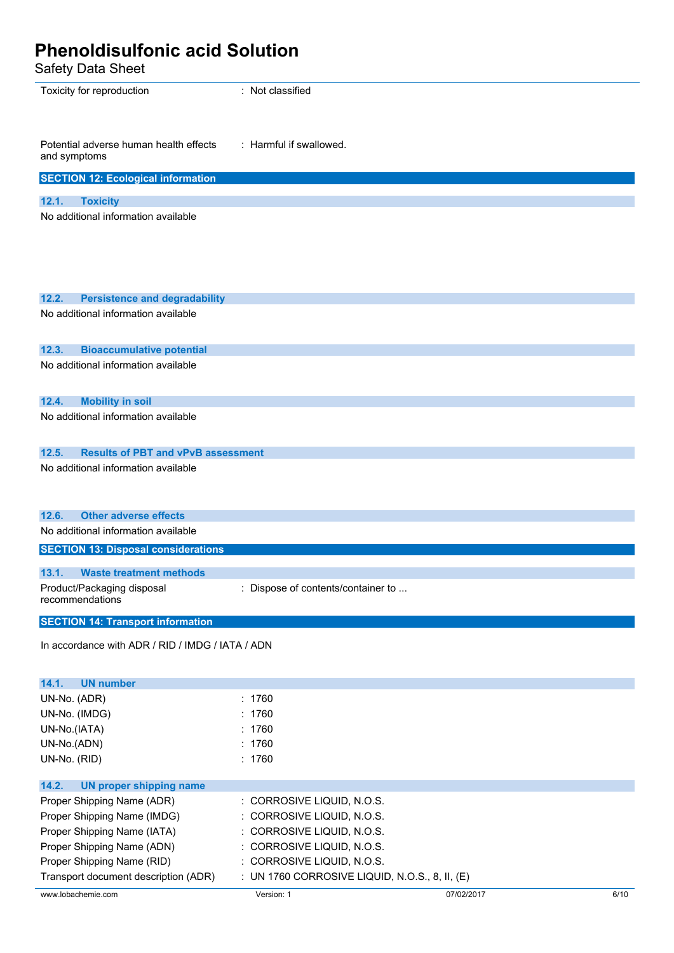| <b>Phenoldisulfonic acid Solution</b><br><b>Safety Data Sheet</b> |                                    |
|-------------------------------------------------------------------|------------------------------------|
| Toxicity for reproduction                                         | : Not classified                   |
| Potential adverse human health effects<br>and symptoms            | : Harmful if swallowed.            |
| <b>SECTION 12: Ecological information</b>                         |                                    |
| 12.1.<br><b>Toxicity</b>                                          |                                    |
| No additional information available                               |                                    |
| 12.2.<br><b>Persistence and degradability</b>                     |                                    |
| No additional information available                               |                                    |
| 12.3.<br><b>Bioaccumulative potential</b>                         |                                    |
| No additional information available                               |                                    |
| <b>Mobility in soil</b><br>12.4.                                  |                                    |
| No additional information available                               |                                    |
| <b>Results of PBT and vPvB assessment</b><br>12.5.                |                                    |
| No additional information available                               |                                    |
| 12.6<br><b>Other adverse effects</b>                              |                                    |
| No additional information available                               |                                    |
| <b>SECTION 13: Disposal considerations</b>                        |                                    |
| 13.1.<br><b>Waste treatment methods</b>                           |                                    |
| Product/Packaging disposal<br>recommendations                     | : Dispose of contents/container to |
| <b>SECTION 14: Transport information</b>                          |                                    |
| In accordance with ADR / RID / IMDG / IATA / ADN                  |                                    |
| 14.1.<br><b>UN number</b>                                         |                                    |
| UN-No. (ADR)                                                      | : 1760                             |
| UN-No. (IMDG)                                                     | : 1760                             |
| UN-No.(IATA)                                                      | : 1760                             |
| UN-No.(ADN)                                                       | : 1760                             |
| UN-No. (RID)                                                      | : 1760                             |

| UN proper shipping name<br>14.2.     |                                                  |            |      |
|--------------------------------------|--------------------------------------------------|------------|------|
| Proper Shipping Name (ADR)           | $\therefore$ CORROSIVE LIQUID, N.O.S.            |            |      |
| Proper Shipping Name (IMDG)          | $\therefore$ CORROSIVE LIQUID, N.O.S.            |            |      |
| Proper Shipping Name (IATA)          | $\therefore$ CORROSIVE LIQUID, N.O.S.            |            |      |
| Proper Shipping Name (ADN)           | : CORROSIVE LIQUID, N.O.S.                       |            |      |
| Proper Shipping Name (RID)           | : CORROSIVE LIQUID, N.O.S.                       |            |      |
| Transport document description (ADR) | : UN 1760 CORROSIVE LIQUID, N.O.S., 8, II, $(E)$ |            |      |
| www.lobachemie.com                   | Version: 1                                       | 07/02/2017 | 6/10 |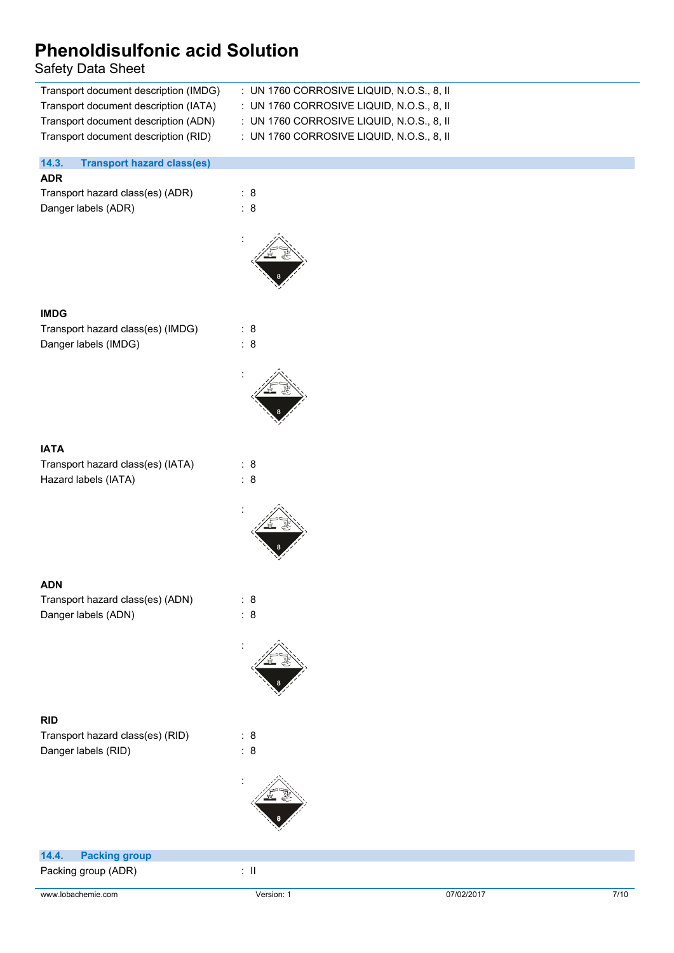### Safety Data Sheet

| Transport document description (IMDG)      | $\pm$ UN 1760 CORROSIVE LIQUID, N.O.S., 8, II |
|--------------------------------------------|-----------------------------------------------|
| Transport document description (IATA)      | : UN 1760 CORROSIVE LIQUID, N.O.S., 8, II     |
| Transport document description (ADN)       | : UN 1760 CORROSIVE LIQUID, N.O.S., 8, II     |
| Transport document description (RID)       | : UN 1760 CORROSIVE LIQUID, N.O.S., 8, II     |
|                                            |                                               |
| 14.3.<br><b>Transport hazard class(es)</b> |                                               |
| <b>ADR</b>                                 |                                               |

Transport hazard class(es) (ADR) : 8 Danger labels (ADR) : 8



#### **IMDG**

Transport hazard class(es) (IMDG) : 8 Danger labels (IMDG)  $\qquad \qquad : 8$ 



#### **IATA**

Transport hazard class(es) (IATA) : 8 Hazard labels (IATA) : 8

#### **ADN**

Transport hazard class(es) (ADN) : 8 Danger labels (ADN) : 8



:

#### **RID**

Transport hazard class(es) (RID) : 8 Danger labels (RID) : 8



| 14.4. Packing group |       |
|---------------------|-------|
| Packing group (ADR) | -: II |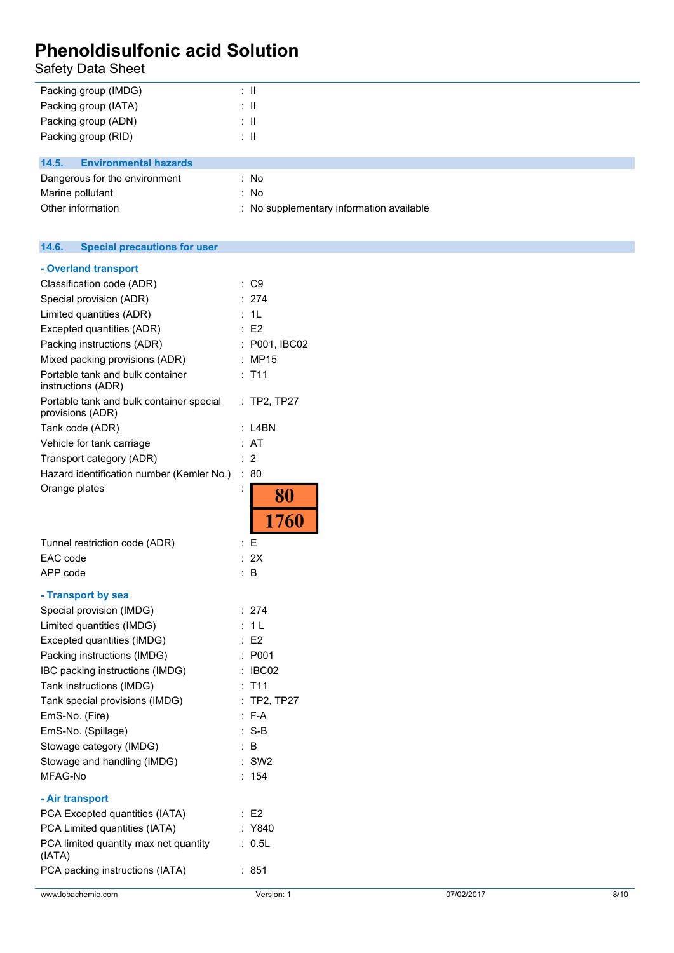Safety Data Sheet

| Packing group (IMDG)                  | ÷Ш                                       |
|---------------------------------------|------------------------------------------|
| Packing group (IATA)                  | ÷Ш                                       |
| Packing group (ADN)                   | ÷Ш                                       |
| Packing group (RID)                   | ÷Ш                                       |
|                                       |                                          |
| <b>Environmental hazards</b><br>14.5. |                                          |
| Dangerous for the environment         | : No                                     |
| Marine pollutant                      | : No                                     |
| Other information                     | : No supplementary information available |

#### $14.6.$ **14.6. Special precautions for user**

| www.lobachemie.com                                                 | Version: 1             | 07/02/2017 | 8/10 |
|--------------------------------------------------------------------|------------------------|------------|------|
| PCA packing instructions (IATA)                                    | : 851                  |            |      |
| PCA limited quantity max net quantity<br>(IATA)                    | : 0.5L                 |            |      |
| PCA Limited quantities (IATA)                                      | : Y840                 |            |      |
| PCA Excepted quantities (IATA)                                     | $\therefore$ E2        |            |      |
| - Air transport                                                    |                        |            |      |
| MFAG-No                                                            | : 154                  |            |      |
| Stowage and handling (IMDG)                                        | $:$ SW2                |            |      |
| Stowage category (IMDG)                                            | $\therefore$ B         |            |      |
| EmS-No. (Spillage)                                                 | $: S-B$                |            |      |
| EmS-No. (Fire)                                                     | $: F-A$                |            |      |
| Tank special provisions (IMDG)                                     | $:$ TP2, TP27          |            |      |
| Tank instructions (IMDG)                                           | $:$ T11                |            |      |
| IBC packing instructions (IMDG)                                    | $\therefore$ IBC02     |            |      |
| Packing instructions (IMDG)                                        | : P001                 |            |      |
| Excepted quantities (IMDG)                                         | $\therefore$ E2        |            |      |
| Limited quantities (IMDG)                                          | : 1L                   |            |      |
| Special provision (IMDG)                                           | : 274                  |            |      |
| - Transport by sea                                                 |                        |            |      |
| APP code                                                           | : $B$                  |            |      |
| EAC code                                                           | : 2X                   |            |      |
| Tunnel restriction code (ADR)                                      | $\colon E$             |            |      |
|                                                                    | 80<br>1760             |            |      |
| Hazard identification number (Kemler No.)<br>Orange plates         | : 80                   |            |      |
| Transport category (ADR)                                           |                        |            |      |
| Vehicle for tank carriage                                          | : AT<br>$\therefore$ 2 |            |      |
| Tank code (ADR)                                                    | $:$ L4BN               |            |      |
| Portable tank and bulk container special<br>provisions (ADR)       | : TP2, TP27            |            |      |
| instructions (ADR)                                                 |                        |            |      |
| Mixed packing provisions (ADR)<br>Portable tank and bulk container | : MP15<br>$:$ T11      |            |      |
| Packing instructions (ADR)                                         | : P001, IBC02          |            |      |
| Excepted quantities (ADR)                                          | : E2                   |            |      |
| Limited quantities (ADR)                                           | : 1L                   |            |      |
| Special provision (ADR)                                            | : 274                  |            |      |
| Classification code (ADR)                                          | : C9                   |            |      |
| - Overland transport                                               |                        |            |      |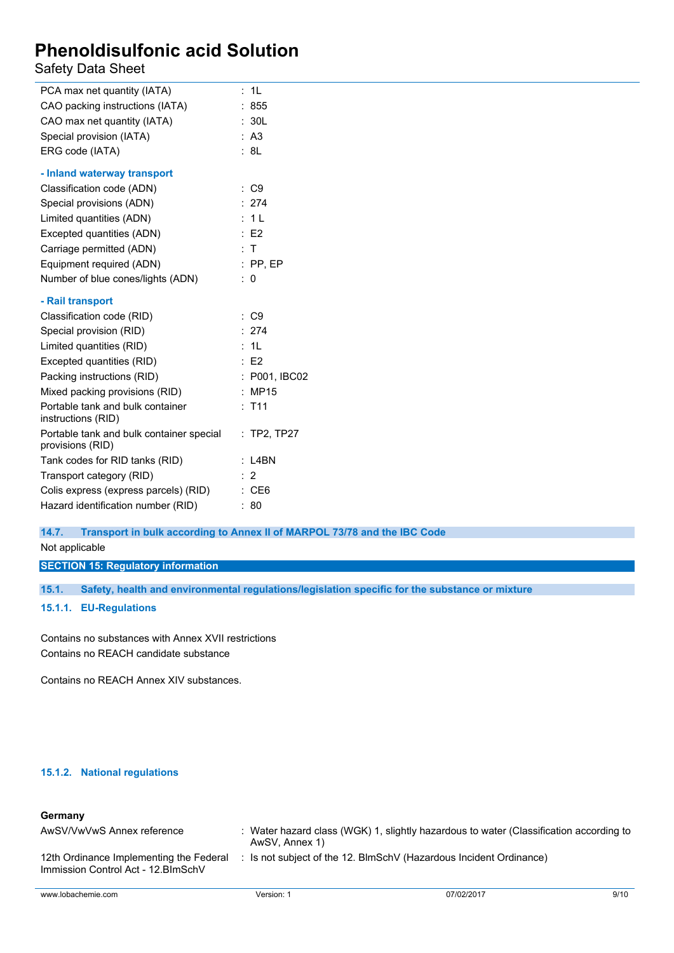Safety Data Sheet

| PCA max net quantity (IATA)                                  | 1L                                     |
|--------------------------------------------------------------|----------------------------------------|
| CAO packing instructions (IATA)                              | : 855                                  |
| CAO max net quantity (IATA)                                  | : 30L                                  |
| Special provision (IATA)                                     | : A3                                   |
| ERG code (IATA)                                              | : 8L                                   |
| - Inland waterway transport                                  |                                        |
| Classification code (ADN)                                    | : C9                                   |
| Special provisions (ADN)                                     | : 274                                  |
| Limited quantities (ADN)                                     | 1 <sup>L</sup>                         |
| Excepted quantities (ADN)                                    | E2                                     |
| Carriage permitted (ADN)                                     | : T                                    |
| Equipment required (ADN)                                     | $:$ PP, EP                             |
| Number of blue cones/lights (ADN)                            | : 0                                    |
| - Rail transport                                             |                                        |
| Classification code (RID)                                    | : C9                                   |
| Special provision (RID)                                      | : 274                                  |
| Limited quantities (RID)                                     | 1L                                     |
| Excepted quantities (RID)                                    | E2                                     |
| Packing instructions (RID)                                   | : P001, IBC02                          |
| Mixed packing provisions (RID)                               | : MP15                                 |
| Portable tank and bulk container<br>instructions (RID)       | T <sub>11</sub><br>÷                   |
| Portable tank and bulk container special<br>provisions (RID) | $:$ TP2, TP27                          |
| Tank codes for RID tanks (RID)                               | : L4BN                                 |
| Transport category (RID)                                     | $\overline{2}$<br>$\ddot{\phantom{0}}$ |
| Colis express (express parcels) (RID)                        | CE <sub>6</sub>                        |
| Hazard identification number (RID)                           | ٠<br>80                                |

#### **14.7. Transport in bulk according to Annex II of MARPOL 73/78 and the IBC Code**

Not applicable

#### **SECTION 15: Regulatory information**

**15.1. Safety, health and environmental regulations/legislation specific for the substance or mixture**

#### **15.1.1. EU-Regulations**

Contains no substances with Annex XVII restrictions Contains no REACH candidate substance

Contains no REACH Annex XIV substances.

#### **15.1.2. National regulations**

#### **Germany**

| AwSV/VwVwS Annex reference                                                     | AwSV, Annex 1) | : Water hazard class (WGK) 1, slightly hazardous to water (Classification according to |      |
|--------------------------------------------------------------------------------|----------------|----------------------------------------------------------------------------------------|------|
| 12th Ordinance Implementing the Federal<br>Immission Control Act - 12. BlmSchV |                | : Is not subject of the 12. BlmSchV (Hazardous Incident Ordinance)                     |      |
| www.lobachemie.com                                                             | Version: 1     | 07/02/2017                                                                             | 9/10 |